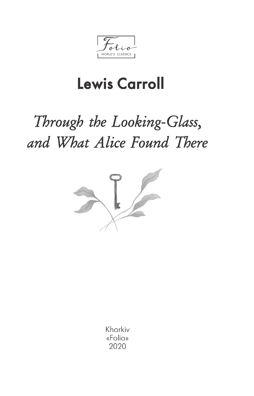WORLD'S CLASSICS

## **Lewis Carroll**

## Through the Looking-Glass, and What Alice Found There



Kharkiv «Folio» 2020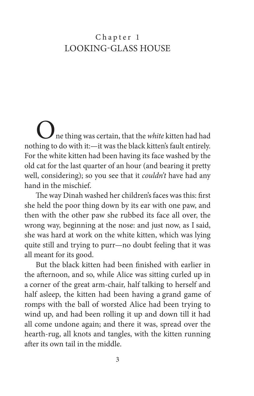## Chapter 1 LOOKING-GLASS HOUSE

One thing was certain, that the *white* kitten had had nothing to do with it:—it was the black kitten's fault entirely. For the white kitten had been having its face washed by the old cat for the last quarter of an hour (and bearing it pretty well, considering); so you see that it *couldn't* have had any hand in the mischief.

The way Dinah washed her children's faces was this: first she held the poor thing down by its ear with one paw, and then with the other paw she rubbed its face all over, the wrong way, beginning at the nose: and just now, as I said, she was hard at work on the white kitten, which was lying quite still and trying to purr—no doubt feeling that it was all meant for its good.

But the black kitten had been finished with earlier in the afternoon, and so, while Alice was sitting curled up in a corner of the great arm-chair, half talking to herself and half asleep, the kitten had been having a grand game of romps with the ball of worsted Alice had been trying to wind up, and had been rolling it up and down till it had all come undone again; and there it was, spread over the hearth-rug, all knots and tangles, with the kitten running after its own tail in the middle.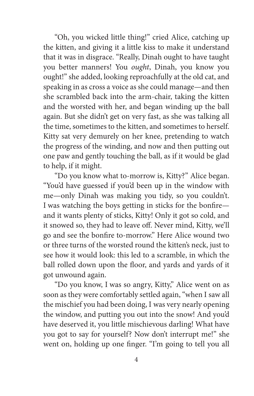"Oh, you wicked little thing!" cried Alice, catching up the kitten, and giving it a little kiss to make it understand that it was in disgrace. "Really, Dinah ought to have taught you better manners! You *ought*, Dinah, you know you ought!" she added, looking reproachfully at the old cat, and speaking in as cross a voice as she could manage—and then she scrambled back into the arm-chair, taking the kitten and the worsted with her, and began winding up the ball again. But she didn't get on very fast, as she was talking all the time, sometimes to the kitten, and sometimes to herself. Kitty sat very demurely on her knee, pretending to watch the progress of the winding, and now and then putting out one paw and gently touching the ball, as if it would be glad to help, if it might.

"Do you know what to-morrow is, Kitty?" Alice began. "You'd have guessed if you'd been up in the window with me—only Dinah was making you tidy, so you couldn't. I was watching the boys getting in sticks for the bonfire and it wants plenty of sticks, Kitty! Only it got so cold, and it snowed so, they had to leave off. Never mind, Kitty, we'll go and see the bonfire to-morrow." Here Alice wound two or three turns of the worsted round the kitten's neck, just to see how it would look: this led to a scramble, in which the ball rolled down upon the floor, and yards and yards of it got unwound again.

"Do you know, I was so angry, Kitty," Alice went on as soon as they were comfortably settled again, "when I saw all the mischief you had been doing, I was very nearly opening the window, and putting you out into the snow! And you'd have deserved it, you little mischievous darling! What have you got to say for yourself? Now don't interrupt me!" she went on, holding up one finger. "I'm going to tell you all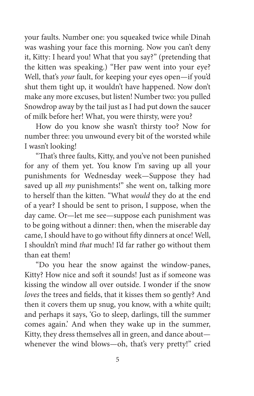your faults. Number one: you squeaked twice while Dinah was washing your face this morning. Now you can't deny it, Kitty: I heard you! What that you say?" (pretending that the kitten was speaking.) "Her paw went into your eye? Well, that's *your* fault, for keeping your eyes open—if you'd shut them tight up, it wouldn't have happened. Now don't make any more excuses, but listen! Number two: you pulled Snowdrop away by the tail just as I had put down the saucer of milk before her! What, you were thirsty, were you?

How do you know she wasn't thirsty too? Now for number three: you unwound every bit of the worsted while I wasn't looking!

"That's three faults, Kitty, and you've not been punished for any of them yet. You know I'm saving up all your punishments for Wednesday week—Suppose they had saved up all *my* punishments!" she went on, talking more to herself than the kitten. "What *would* they do at the end of a year? I should be sent to prison, I suppose, when the day came. Or—let me see—suppose each punishment was to be going without a dinner: then, when the miserable day came, I should have to go without fifty dinners at once! Well, I shouldn't mind *that* much! I'd far rather go without them than eat them!

"Do you hear the snow against the window-panes, Kitty? How nice and soft it sounds! Just as if someone was kissing the window all over outside. I wonder if the snow *loves* the trees and fields, that it kisses them so gently? And then it covers them up snug, you know, with a white quilt; and perhaps it says, 'Go to sleep, darlings, till the summer comes again.' And when they wake up in the summer, Kitty, they dress themselves all in green, and dance about whenever the wind blows—oh, that's very pretty!" cried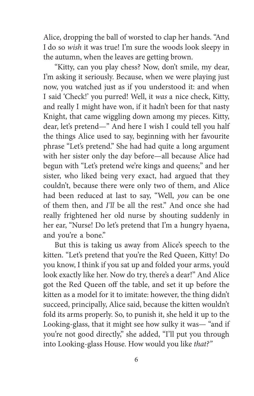Alice, dropping the ball of worsted to clap her hands. "And I do so *wish* it was true! I'm sure the woods look sleepy in the autumn, when the leaves are getting brown.

"Kitty, can you play chess? Now, don't smile, my dear, I'm asking it seriously. Because, when we were playing just now, you watched just as if you understood it: and when I said 'Check!' you purred! Well, it *was* a nice check, Kitty, and really I might have won, if it hadn't been for that nasty Knight, that came wiggling down among my pieces. Kitty, dear, let's pretend—" And here I wish I could tell you half the things Alice used to say, beginning with her favourite phrase "Let's pretend." She had had quite a long argument with her sister only the day before—all because Alice had begun with "Let's pretend we're kings and queens;" and her sister, who liked being very exact, had argued that they couldn't, because there were only two of them, and Alice had been reduced at last to say, "Well, *you* can be one of them then, and *I'll* be all the rest." And once she had really frightened her old nurse by shouting suddenly in her ear, "Nurse! Do let's pretend that I'm a hungry hyaena, and you're a bone."

But this is taking us away from Alice's speech to the kitten. "Let's pretend that you're the Red Queen, Kitty! Do you know, I think if you sat up and folded your arms, you'd look exactly like her. Now do try, there's a dear!" And Alice got the Red Queen off the table, and set it up before the kitten as a model for it to imitate: however, the thing didn't succeed, principally, Alice said, because the kitten wouldn't fold its arms properly. So, to punish it, she held it up to the Looking-glass, that it might see how sulky it was— "and if you're not good directly," she added, "I'll put you through into Looking-glass House. How would you like *that?"*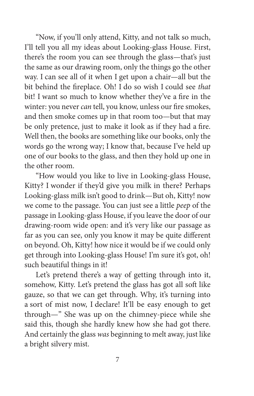"Now, if you'll only attend, Kitty, and not talk so much, I'll tell you all my ideas about Looking-glass House. First, there's the room you can see through the glass—that's just the same as our drawing room, only the things go the other way. I can see all of it when I get upon a chair—all but the bit behind the fireplace. Oh! I do so wish I could see *that* bit! I want so much to know whether they've a fire in the winter: you never *can* tell, you know, unless our fire smokes, and then smoke comes up in that room too—but that may be only pretence, just to make it look as if they had a fire. Well then, the books are something like our books, only the words go the wrong way; I know that, because I've held up one of our books to the glass, and then they hold up one in the other room.

"How would you like to live in Looking-glass House, Kitty? I wonder if they'd give you milk in there? Perhaps Looking-glass milk isn't good to drink—But oh, Kitty! now we come to the passage. You can just see a little *peep* of the passage in Looking-glass House, if you leave the door of our drawing-room wide open: and it's very like our passage as far as you can see, only you know it may be quite different on beyond. Oh, Kitty! how nice it would be if we could only get through into Looking-glass House! I'm sure it's got, oh! such beautiful things in it!

Let's pretend there's a way of getting through into it, somehow, Kitty. Let's pretend the glass has got all soft like gauze, so that we can get through. Why, it's turning into a sort of mist now, I declare! It'll be easy enough to get through—" She was up on the chimney-piece while she said this, though she hardly knew how she had got there. And certainly the glass *was* beginning to melt away, just like a bright silvery mist.